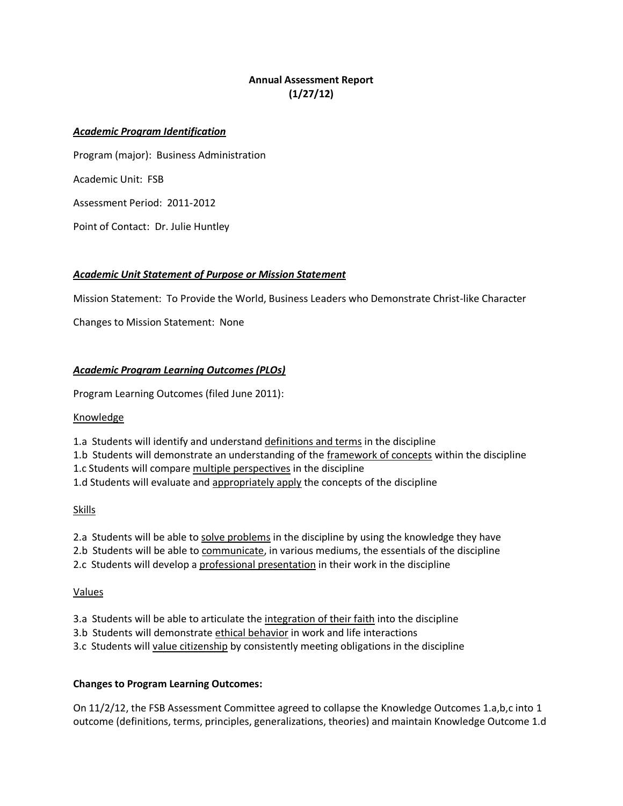# **Annual Assessment Report (1/27/12)**

### *Academic Program Identification*

Program (major): Business Administration Academic Unit: FSB Assessment Period: 2011-2012 Point of Contact: Dr. Julie Huntley

## *Academic Unit Statement of Purpose or Mission Statement*

Mission Statement: To Provide the World, Business Leaders who Demonstrate Christ-like Character

Changes to Mission Statement: None

## *Academic Program Learning Outcomes (PLOs)*

Program Learning Outcomes (filed June 2011):

### **Knowledge**

1.a Students will identify and understand definitions and terms in the discipline

1.b Students will demonstrate an understanding of the framework of concepts within the discipline

1.c Students will compare multiple perspectives in the discipline

1.d Students will evaluate and appropriately apply the concepts of the discipline

### Skills

2.a Students will be able to solve problems in the discipline by using the knowledge they have

2.b Students will be able to communicate, in various mediums, the essentials of the discipline

2.c Students will develop a professional presentation in their work in the discipline

### Values

3.a Students will be able to articulate the integration of their faith into the discipline

3.b Students will demonstrate ethical behavior in work and life interactions

3.c Students will value citizenship by consistently meeting obligations in the discipline

### **Changes to Program Learning Outcomes:**

On 11/2/12, the FSB Assessment Committee agreed to collapse the Knowledge Outcomes 1.a,b,c into 1 outcome (definitions, terms, principles, generalizations, theories) and maintain Knowledge Outcome 1.d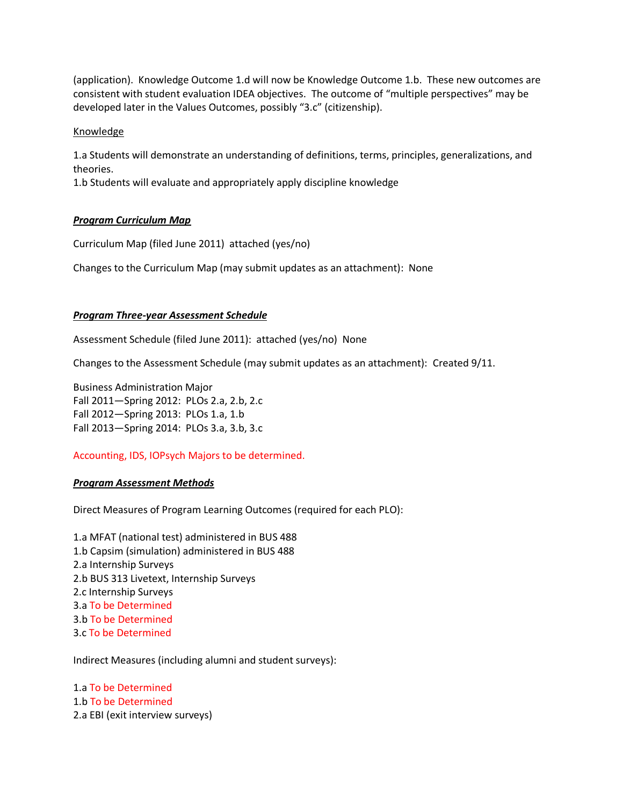(application). Knowledge Outcome 1.d will now be Knowledge Outcome 1.b. These new outcomes are consistent with student evaluation IDEA objectives. The outcome of "multiple perspectives" may be developed later in the Values Outcomes, possibly "3.c" (citizenship).

#### **Knowledge**

1.a Students will demonstrate an understanding of definitions, terms, principles, generalizations, and theories.

1.b Students will evaluate and appropriately apply discipline knowledge

### *Program Curriculum Map*

Curriculum Map (filed June 2011) attached (yes/no)

Changes to the Curriculum Map (may submit updates as an attachment): None

### *Program Three-year Assessment Schedule*

Assessment Schedule (filed June 2011): attached (yes/no)None

Changes to the Assessment Schedule (may submit updates as an attachment): Created 9/11.

Business Administration Major Fall 2011—Spring 2012: PLOs 2.a, 2.b, 2.c Fall 2012—Spring 2013: PLOs 1.a, 1.b Fall 2013—Spring 2014: PLOs 3.a, 3.b, 3.c

Accounting, IDS, IOPsych Majors to be determined.

### *Program Assessment Methods*

Direct Measures of Program Learning Outcomes (required for each PLO):

1.a MFAT (national test) administered in BUS 488 1.b Capsim (simulation) administered in BUS 488 2.a Internship Surveys 2.b BUS 313 Livetext, Internship Surveys 2.c Internship Surveys 3.a To be Determined 3.b To be Determined 3.c To be Determined

Indirect Measures (including alumni and student surveys):

1.a To be Determined 1.b To be Determined 2.a EBI (exit interview surveys)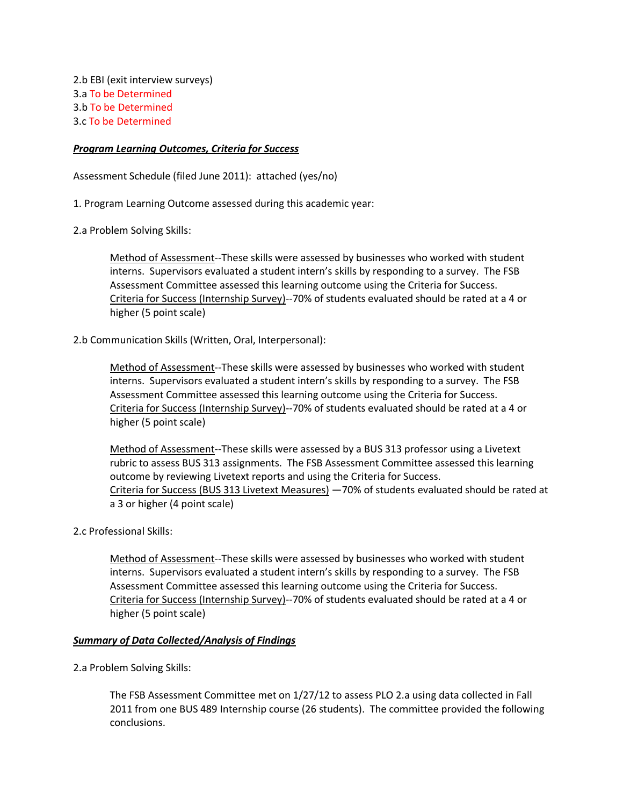2.b EBI (exit interview surveys) 3.a To be Determined 3.b To be Determined 3.c To be Determined

### *Program Learning Outcomes, Criteria for Success*

Assessment Schedule (filed June 2011): attached (yes/no)

1. Program Learning Outcome assessed during this academic year:

2.a Problem Solving Skills:

Method of Assessment--These skills were assessed by businesses who worked with student interns. Supervisors evaluated a student intern's skills by responding to a survey. The FSB Assessment Committee assessed this learning outcome using the Criteria for Success. Criteria for Success (Internship Survey)--70% of students evaluated should be rated at a 4 or higher (5 point scale)

2.b Communication Skills (Written, Oral, Interpersonal):

Method of Assessment--These skills were assessed by businesses who worked with student interns. Supervisors evaluated a student intern's skills by responding to a survey. The FSB Assessment Committee assessed this learning outcome using the Criteria for Success. Criteria for Success (Internship Survey)--70% of students evaluated should be rated at a 4 or higher (5 point scale)

Method of Assessment--These skills were assessed by a BUS 313 professor using a Livetext rubric to assess BUS 313 assignments. The FSB Assessment Committee assessed this learning outcome by reviewing Livetext reports and using the Criteria for Success. Criteria for Success (BUS 313 Livetext Measures) —70% of students evaluated should be rated at a 3 or higher (4 point scale)

2.c Professional Skills:

Method of Assessment--These skills were assessed by businesses who worked with student interns. Supervisors evaluated a student intern's skills by responding to a survey. The FSB Assessment Committee assessed this learning outcome using the Criteria for Success. Criteria for Success (Internship Survey)--70% of students evaluated should be rated at a 4 or higher (5 point scale)

### *Summary of Data Collected/Analysis of Findings*

2.a Problem Solving Skills:

The FSB Assessment Committee met on 1/27/12 to assess PLO 2.a using data collected in Fall 2011 from one BUS 489 Internship course (26 students). The committee provided the following conclusions.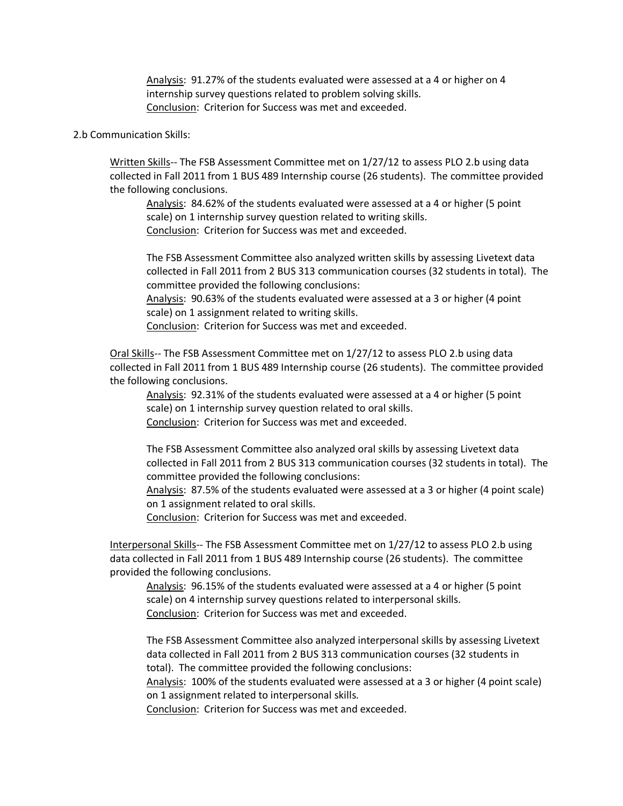Analysis: 91.27% of the students evaluated were assessed at a 4 or higher on 4 internship survey questions related to problem solving skills. Conclusion: Criterion for Success was met and exceeded.

#### 2.b Communication Skills:

Written Skills-- The FSB Assessment Committee met on 1/27/12 to assess PLO 2.b using data collected in Fall 2011 from 1 BUS 489 Internship course (26 students). The committee provided the following conclusions.

Analysis: 84.62% of the students evaluated were assessed at a 4 or higher (5 point scale) on 1 internship survey question related to writing skills. Conclusion: Criterion for Success was met and exceeded.

The FSB Assessment Committee also analyzed written skills by assessing Livetext data collected in Fall 2011 from 2 BUS 313 communication courses (32 students in total). The committee provided the following conclusions:

Analysis: 90.63% of the students evaluated were assessed at a 3 or higher (4 point scale) on 1 assignment related to writing skills.

Conclusion: Criterion for Success was met and exceeded.

Oral Skills-- The FSB Assessment Committee met on 1/27/12 to assess PLO 2.b using data collected in Fall 2011 from 1 BUS 489 Internship course (26 students). The committee provided the following conclusions.

Analysis: 92.31% of the students evaluated were assessed at a 4 or higher (5 point scale) on 1 internship survey question related to oral skills.

Conclusion: Criterion for Success was met and exceeded.

The FSB Assessment Committee also analyzed oral skills by assessing Livetext data collected in Fall 2011 from 2 BUS 313 communication courses (32 students in total). The committee provided the following conclusions:

Analysis: 87.5% of the students evaluated were assessed at a 3 or higher (4 point scale) on 1 assignment related to oral skills.

Conclusion: Criterion for Success was met and exceeded.

Interpersonal Skills-- The FSB Assessment Committee met on 1/27/12 to assess PLO 2.b using data collected in Fall 2011 from 1 BUS 489 Internship course (26 students). The committee provided the following conclusions.

Analysis: 96.15% of the students evaluated were assessed at a 4 or higher (5 point scale) on 4 internship survey questions related to interpersonal skills. Conclusion: Criterion for Success was met and exceeded.

The FSB Assessment Committee also analyzed interpersonal skills by assessing Livetext data collected in Fall 2011 from 2 BUS 313 communication courses (32 students in total). The committee provided the following conclusions:

Analysis: 100% of the students evaluated were assessed at a 3 or higher (4 point scale) on 1 assignment related to interpersonal skills.

Conclusion: Criterion for Success was met and exceeded.